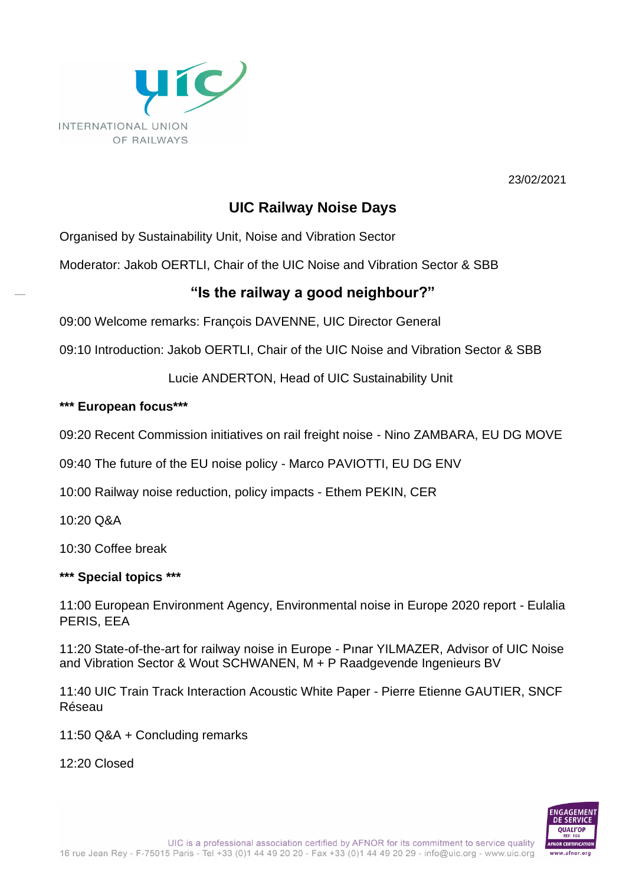

23/02/2021

## **UIC Railway Noise Days**

Organised by Sustainability Unit, Noise and Vibration Sector

Moderator: Jakob OERTLI, Chair of the UIC Noise and Vibration Sector & SBB

## **"Is the railway a good neighbour?"**

09:00 Welcome remarks: François DAVENNE, UIC Director General

09:10 Introduction: Jakob OERTLI, Chair of the UIC Noise and Vibration Sector & SBB

Lucie ANDERTON, Head of UIC Sustainability Unit

## **\*\*\* European focus\*\*\***

09:20 Recent Commission initiatives on rail freight noise - Nino ZAMBARA, EU DG MOVE

09:40 The future of the EU noise policy - Marco PAVIOTTI, EU DG ENV

10:00 Railway noise reduction, policy impacts - Ethem PEKIN, CER

10:20 Q&A

10:30 Coffee break

## **\*\*\* Special topics \*\*\***

11:00 European Environment Agency, Environmental noise in Europe 2020 report - Eulalia PERIS, EEA

11:20 State-of-the-art for railway noise in Europe - Pınar YILMAZER, Advisor of UIC Noise and Vibration Sector & Wout SCHWANEN, M + P Raadgevende Ingenieurs BV

11:40 UIC Train Track Interaction Acoustic White Paper - Pierre Etienne GAUTIER, SNCF Réseau

11:50 Q&A + Concluding remarks

12:20 Closed

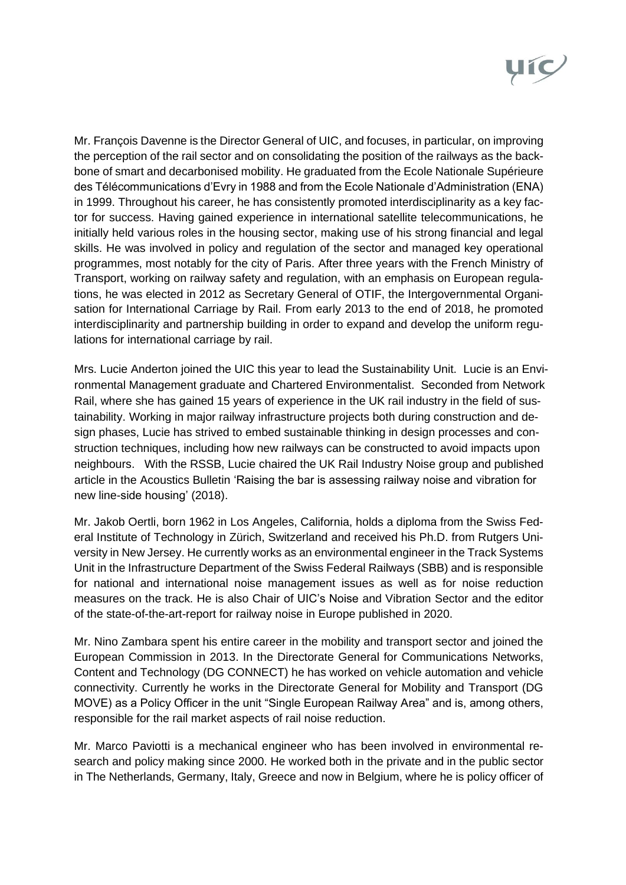

Mr. François Davenne is the Director General of UIC, and focuses, in particular, on improving the perception of the rail sector and on consolidating the position of the railways as the backbone of smart and decarbonised mobility. He graduated from the Ecole Nationale Supérieure des Télécommunications d'Evry in 1988 and from the Ecole Nationale d'Administration (ENA) in 1999. Throughout his career, he has consistently promoted interdisciplinarity as a key factor for success. Having gained experience in international satellite telecommunications, he initially held various roles in the housing sector, making use of his strong financial and legal skills. He was involved in policy and regulation of the sector and managed key operational programmes, most notably for the city of Paris. After three years with the French Ministry of Transport, working on railway safety and regulation, with an emphasis on European regulations, he was elected in 2012 as Secretary General of OTIF, the Intergovernmental Organisation for International Carriage by Rail. From early 2013 to the end of 2018, he promoted interdisciplinarity and partnership building in order to expand and develop the uniform regulations for international carriage by rail.

Mrs. Lucie Anderton joined the UIC this year to lead the Sustainability Unit. Lucie is an Environmental Management graduate and Chartered Environmentalist. Seconded from Network Rail, where she has gained 15 years of experience in the UK rail industry in the field of sustainability. Working in major railway infrastructure projects both during construction and design phases, Lucie has strived to embed sustainable thinking in design processes and construction techniques, including how new railways can be constructed to avoid impacts upon neighbours. With the RSSB, Lucie chaired the UK Rail Industry Noise group and published article in the Acoustics Bulletin 'Raising the bar is assessing railway noise and vibration for new line-side housing' (2018).

Mr. Jakob Oertli, born 1962 in Los Angeles, California, holds a diploma from the Swiss Federal Institute of Technology in Zürich, Switzerland and received his Ph.D. from Rutgers University in New Jersey. He currently works as an environmental engineer in the Track Systems Unit in the Infrastructure Department of the Swiss Federal Railways (SBB) and is responsible for national and international noise management issues as well as for noise reduction measures on the track. He is also Chair of UIC's Noise and Vibration Sector and the editor of the state-of-the-art-report for railway noise in Europe published in 2020.

Mr. Nino Zambara spent his entire career in the mobility and transport sector and joined the European Commission in 2013. In the Directorate General for Communications Networks, Content and Technology (DG CONNECT) he has worked on vehicle automation and vehicle connectivity. Currently he works in the Directorate General for Mobility and Transport (DG MOVE) as a Policy Officer in the unit "Single European Railway Area" and is, among others, responsible for the rail market aspects of rail noise reduction.

Mr. Marco Paviotti is a mechanical engineer who has been involved in environmental research and policy making since 2000. He worked both in the private and in the public sector in The Netherlands, Germany, Italy, Greece and now in Belgium, where he is policy officer of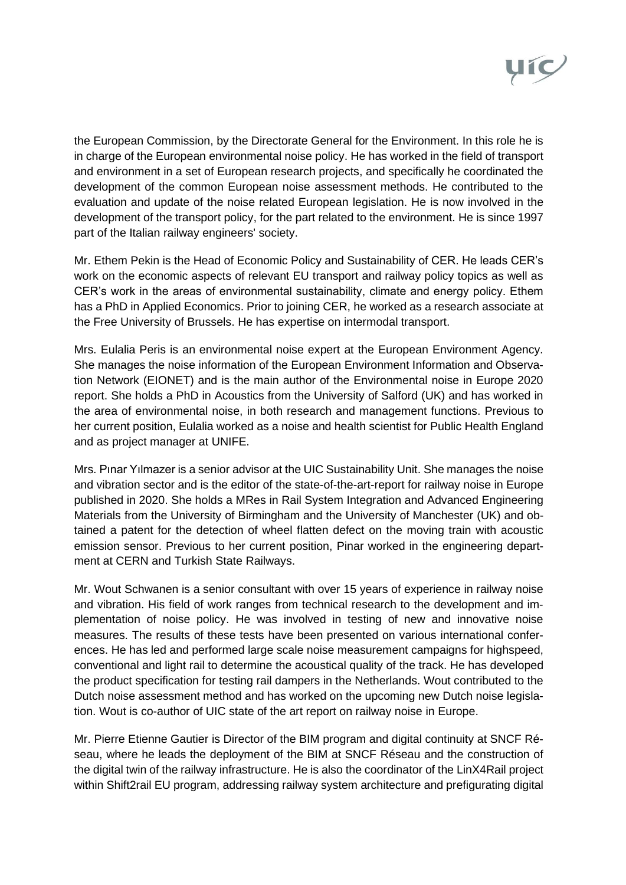

the European Commission, by the Directorate General for the Environment. In this role he is in charge of the European environmental noise policy. He has worked in the field of transport and environment in a set of European research projects, and specifically he coordinated the development of the common European noise assessment methods. He contributed to the evaluation and update of the noise related European legislation. He is now involved in the development of the transport policy, for the part related to the environment. He is since 1997 part of the Italian railway engineers' society.

Mr. Ethem Pekin is the Head of Economic Policy and Sustainability of CER. He leads CER's work on the economic aspects of relevant EU transport and railway policy topics as well as CER's work in the areas of environmental sustainability, climate and energy policy. Ethem has a PhD in Applied Economics. Prior to joining CER, he worked as a research associate at the Free University of Brussels. He has expertise on intermodal transport.

Mrs. Eulalia Peris is an environmental noise expert at the European Environment Agency. She manages the noise information of the European Environment Information and Observation Network (EIONET) and is the main author of the Environmental noise in Europe 2020 report. She holds a PhD in Acoustics from the University of Salford (UK) and has worked in the area of environmental noise, in both research and management functions. Previous to her current position, Eulalia worked as a noise and health scientist for Public Health England and as project manager at UNIFE.

Mrs. Pınar Yılmazer is a senior advisor at the UIC Sustainability Unit. She manages the noise and vibration sector and is the editor of the state-of-the-art-report for railway noise in Europe published in 2020. She holds a MRes in Rail System Integration and Advanced Engineering Materials from the University of Birmingham and the University of Manchester (UK) and obtained a patent for the detection of wheel flatten defect on the moving train with acoustic emission sensor. Previous to her current position, Pinar worked in the engineering department at CERN and Turkish State Railways.

Mr. Wout Schwanen is a senior consultant with over 15 years of experience in railway noise and vibration. His field of work ranges from technical research to the development and implementation of noise policy. He was involved in testing of new and innovative noise measures. The results of these tests have been presented on various international conferences. He has led and performed large scale noise measurement campaigns for highspeed, conventional and light rail to determine the acoustical quality of the track. He has developed the product specification for testing rail dampers in the Netherlands. Wout contributed to the Dutch noise assessment method and has worked on the upcoming new Dutch noise legislation. Wout is co-author of UIC state of the art report on railway noise in Europe.

Mr. Pierre Etienne Gautier is Director of the BIM program and digital continuity at SNCF Réseau, where he leads the deployment of the BIM at SNCF Réseau and the construction of the digital twin of the railway infrastructure. He is also the coordinator of the LinX4Rail project within Shift2rail EU program, addressing railway system architecture and prefigurating digital